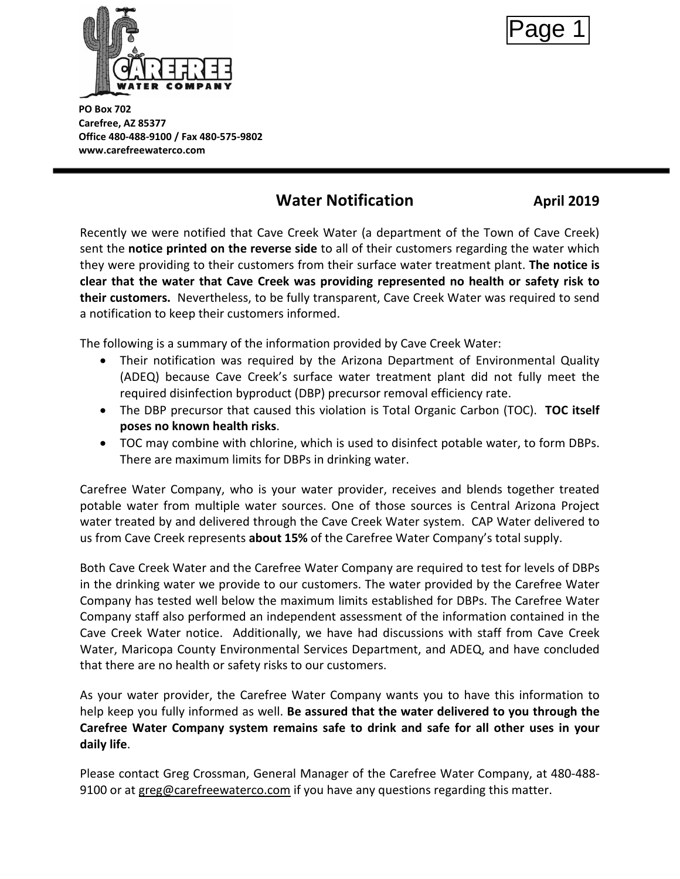

Page 1

**PO Box 702 Carefree, AZ 85377 Office 480-488-9100 / Fax 480-575-9802 www.carefreewaterco.com**

# **Water Notification April 2019**

Recently we were notified that Cave Creek Water (a department of the Town of Cave Creek) sent the **notice printed on the reverse side** to all of their customers regarding the water which they were providing to their customers from their surface water treatment plant. **The notice is clear that the water that Cave Creek was providing represented no health or safety risk to their customers.** Nevertheless, to be fully transparent, Cave Creek Water was required to send a notification to keep their customers informed.

The following is a summary of the information provided by Cave Creek Water:

- Their notification was required by the Arizona Department of Environmental Quality (ADEQ) because Cave Creek's surface water treatment plant did not fully meet the required disinfection byproduct (DBP) precursor removal efficiency rate.
- The DBP precursor that caused this violation is Total Organic Carbon (TOC). **TOC itself poses no known health risks**.
- TOC may combine with chlorine, which is used to disinfect potable water, to form DBPs. There are maximum limits for DBPs in drinking water.

Carefree Water Company, who is your water provider, receives and blends together treated potable water from multiple water sources. One of those sources is Central Arizona Project water treated by and delivered through the Cave Creek Water system. CAP Water delivered to us from Cave Creek represents **about 15%** of the Carefree Water Company's total supply.

Both Cave Creek Water and the Carefree Water Company are required to test for levels of DBPs in the drinking water we provide to our customers. The water provided by the Carefree Water Company has tested well below the maximum limits established for DBPs. The Carefree Water Company staff also performed an independent assessment of the information contained in the Cave Creek Water notice. Additionally, we have had discussions with staff from Cave Creek Water, Maricopa County Environmental Services Department, and ADEQ, and have concluded that there are no health or safety risks to our customers.

As your water provider, the Carefree Water Company wants you to have this information to help keep you fully informed as well. **Be assured that the water delivered to you through the Carefree Water Company system remains safe to drink and safe for all other uses in your daily life**.

Please co[ntact Greg Crossman, General](mailto:greg@carefreewaterco.com) Manager of the Carefree Water Company, at 480-488- 9100 or at greg@carefreewaterco.com if you have any questions regarding this matter.